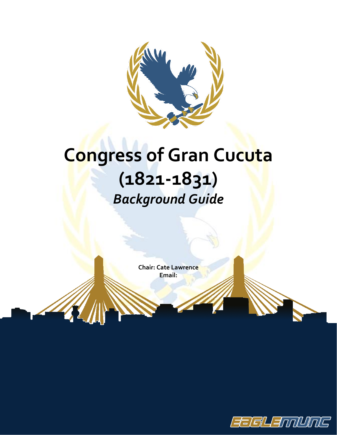

# **Congress of Gran Cucuta (1821-1831)** *Background Guide*

**Chair: Cate Lawrence Email:**

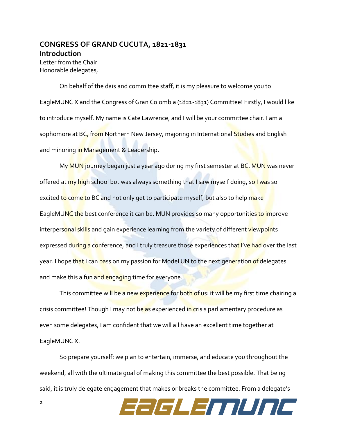## **CONGRESS OF GRAND CUCUTA, 1821-1831 Introduction** Letter from the Chair Honorable delegates,

On behalf of the dais and committee staff, it is my pleasure to welcome you to EagleMUNC X and the Congress of Gran Colombia (1821-1831) Committee! Firstly, I would like to introduce myself. My name is Cate Lawrence, and I will be your committee chair. I am a sophomore at BC, from Northern New Jersey, majoring in International Studies and English and minoring in Management & Leadership.

My MUN journey began just a year ago during my first semester at BC. MUN was never offered at my high school but was always something that I saw myself doing, so I was so excited to come to BC and not only get to participate myself, but also to help make EagleMUNC the best conference it can be. MUN provides so many opportunities to improve interpersonal skills and gain experience learning from the variety of different viewpoints expressed during a conference, and I truly treasure those experiences that I've had over the last year. I hope that I can pass on my passion for Model UN to the next generation of delegates and make this a fun and engaging time for everyone.

This committee will be a new experience for both of us: it will be my first time chairing a crisis committee! Though I may not be as experienced in crisis parliamentary procedure as even some delegates, I am confident that we will all have an excellent time together at EagleMUNC X.

So prepare yourself: we plan to entertain, immerse, and educate you throughout the weekend, all with the ultimate goal of making this committee the best possible. That being said, it is truly delegate engagement that makes or breaks the committee. From a delegate's

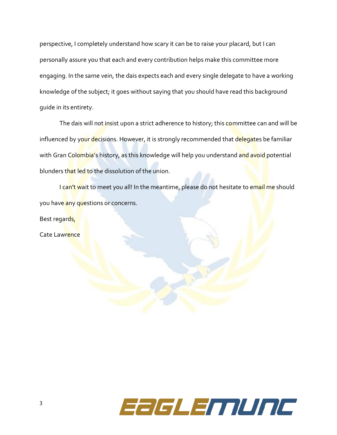perspective, I completely understand how scary it can be to raise your placard, but I can personally assure you that each and every contribution helps make this committee more engaging. In the same vein, the dais expects each and every single delegate to have a working knowledge of the subject; it goes without saying that you should have read this background guide in its entirety.

The dais will not insist upon a strict adherence to history; this committee can and will be influenced by your decisions. However, it is strongly recommended that delegates be familiar with Gran Colombia's history, as this knowledge will help you understand and avoid potential blunders that led to the dissolution of the union.

I can't wait to meet you all! In the meantime, please do not hesitate to email me should you have any questions or concerns.

Best regards,

Cate Lawrence

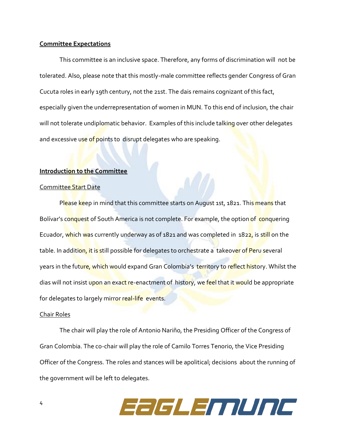#### **Committee Expectations**

This committee is an inclusive space. Therefore, any forms of discrimination will not be tolerated. Also, please note that this mostly-male committee reflects gender Congress of Gran Cucuta roles in early 19th century, not the 21st. The dais remains cognizant of this fact, especially given the underrepresentation of women in MUN. To this end of inclusion, the chair will not tolerate undiplomatic behavior. Examples of this include talking over other delegates and excessive use of points to disrupt delegates who are speaking.

#### **Introduction to the Committee**

#### Committee Start Date

Please keep in mind that this committee starts on August 1st, 1821. This means that Bolívar's conquest of South America is not complete. For example, the option of conquering Ecuador, which was currently underway as of 1821 and was completed in 1822, is still on the table. In addition, it is still possible for delegates to orchestrate a takeover of Peru several years in the future, which would expand Gran Colombia's territory to reflect history. Whilst the dias will not insist upon an exact re-enactment of history, we feel that it would be appropriate for delegates to largely mirror real-life events.

#### Chair Roles

The chair will play the role of Antonio Nariño, the Presiding Officer of the Congress of Gran Colombia. The co-chair will play the role of Camilo Torres Tenorio, the Vice Presiding Officer of the Congress. The roles and stances will be apolitical; decisions about the running of the government will be left to delegates.

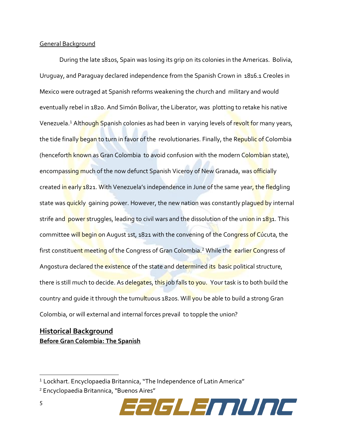#### General Background

During the late 1810s, Spain was losing its grip on its colonies in the Americas. Bolivia, Uruguay, and Paraguay declared independence from the Spanish Crown in 1816.1 Creoles in Mexico were outraged at Spanish reforms weakening the church and military and would eventually rebel in 1820. And Simón Bolívar, the Liberator, was plotting to retake his native Venezuela.<sup>1</sup> Although Spanish colonies as had been in varying levels of revolt for many years, the tide finally began to turn in favor of the revolutionaries. Finally, the Republic of Colombia (henceforth known as Gran Colombia to avoid confusion with the modern Colombian state), encompassing much of the now defunct Spanish Viceroy of New Granada, was officially created in early 1821. With Venezuela's independence in June of the same year, the fledgling state was quickly gaining power. However, the new nation was constantly plagued by internal strife and power struggles, leading to civil wars and the dissolution of the union in 1831. This committee will begin on August 1st, 1821 with the convening of the Congress of Cúcuta, the first constituent meeting of the Congress of Gran Colombia.<sup>2</sup> While the earlier Congress of Angostura declared the existence of the state and determined its basic political structure, there is still much to decide. As delegates, this job falls to you. Your task is to both build the country and quide it through the tumultuous 1820s. Will you be able to build a strong Gran Colombia, or will external and internal forces prevail to topple the union?

# **Historical Background Before Gran Colombia: The Spanish**

<sup>2</sup> Encyclopaedia Britannica, "Buenos Aires"



<sup>&</sup>lt;sup>1</sup> Lockhart. Encyclopaedia Britannica, "The Independence of Latin America"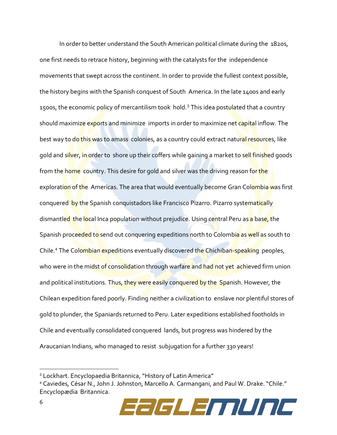In order to better understand the South American political climate during the 1820s, one first needs to retrace history, beginning with the catalysts for the independence movements that swept across the continent. In order to provide the fullest context possible, the history begins with the Spanish conquest of South America. In the late 1400s and early 1500s, the economic policy of mercantilism took hold.<sup>3</sup> This idea postulated that a country should maximize exports and minimize imports in order to maximize net capital inflow. The best way to do this was to amass colonies, as a country could extract natural resources, like gold and silver, in order to shore up their coffers while gaining a market to sell finished goods from the home country. This desire for gold and silver was the driving reason for the exploration of the Americas. The area that would eventually become Gran Colombia was first conquered by the Spanish conquistadors like Francisco Pizarro. Pizarro systematically dismantled the local Inca population without prejudice. Using central Peru as a base, the Spanish proceeded to send out conquering expeditions north to Colombia as well as south to Chile.<sup>4</sup> The Colombian expeditions eventually discovered the Chichiban-speaking peoples, who were in the midst of consolidation through warfare and had not yet achieved firm union and political institutions. Thus, they were easily conquered by the Spanish. However, the Chilean expedition fared poorly. Finding neither a civilization to enslave nor plentiful stores of gold to plunder, the Spaniards returned to Peru. Later expeditions established footholds in Chile and eventually consolidated conquered lands, but progress was hindered by the Araucanian Indians, who managed to resist subjugation for a further 330 years!

<sup>4</sup> Caviedes, César N., John J. Johnston, Marcello A. Carmangani, and Paul W. Drake. "Chile." Encyclopædia Britannica.



<sup>3</sup> Lockhart. Encyclopaedia Britannica, "History of Latin America"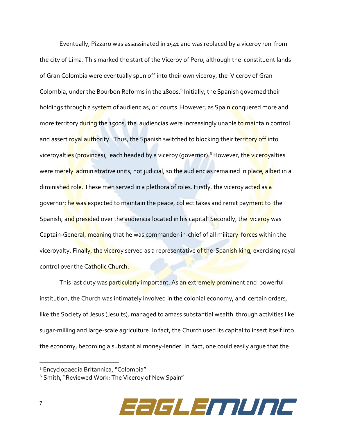Eventually, Pizzaro was assassinated in 1541 and was replaced by a viceroy run from the city of Lima. This marked the start of the Viceroy of Peru, although the constituent lands of Gran Colombia were eventually spun off into their own viceroy, the Viceroy of Gran Colombia, under the Bourbon Reforms in the 1800s.<sup>5</sup> Initially, the Spanish governed their holdings through a system of audiencias, or courts. However, as Spain conquered more and more territory during the 1500s, the audiencias were increasingly unable to maintain control and assert royal authority. Thus, the Spanish switched to blocking their territory off into viceroyalties (provinces), each headed by a viceroy (governor).<sup>6</sup> However, the viceroyalties were merely administrative units, not judicial, so the audiencias remained in place, albeit in a diminished role. These men served in a plethora of roles. Firstly, the viceroy acted as a governor; he was expected to maintain the peace, collect taxes and remit payment to the Spanish, and presided over the audiencia located in his capital. Secondly, the viceroy was Captain-General, meaning that he was commander-in-chief of all military forces within the viceroyalty. Finally, the viceroy served as a representative of the Spanish king, exercising royal control over the Catholic Church.

This last duty was particularly important. As an extremely prominent and powerful institution, the Church was intimately involved in the colonial economy, and certain orders, like the Society of Jesus (Jesuits), managed to amass substantial wealth through activities like sugar-milling and large-scale agriculture. In fact, the Church used its capital to insert itself into the economy, becoming a substantial money-lender. In fact, one could easily argue that the

<sup>&</sup>lt;sup>6</sup> Smith, "Reviewed Work: The Viceroy of New Spain"



<sup>5</sup> Encyclopaedia Britannica, "Colombia"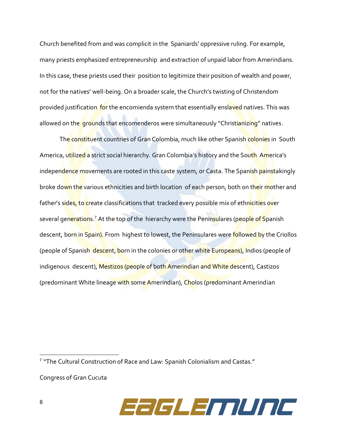Church benefited from and was complicit in the Spaniards' oppressive ruling. For example, many priests emphasized entrepreneurship and extraction of unpaid labor from Amerindians. In this case, these priests used their position to legitimize their position of wealth and power, not for the natives' well-being. On a broader scale, the Church's twisting of Christendom provided justification for the encomienda system that essentially enslaved natives. This was allowed on the grounds that encomenderos were simultaneously "Christianizing" natives.

The constituent countries of Gran Colombia, much like other Spanish colonies in South America, utilized a strict social hierarchy. Gran Colombia's history and the South America's independence movements are rooted in this caste system, or Casta. The Spanish painstakingly broke down the various ethnicities and birth location of each person, both on their mother and father's sides, to create classifications that tracked every possible mix of ethnicities over several generations.<sup>7</sup> At the top of the hierarchy were the Peninsulares (people of Spanish descent, born in Spain). From highest to lowest, the Peninsulares were followed by the Criollos (people of Spanish descent, born in the colonies or other white Europeans), Indios (people of indigenous descent), Mestizos (people of both Amerindian and White descent), Castizos (predominant White lineage with some Amerindian), Cholos (predominant Amerindian

Congress of Gran Cucuta



<sup>7</sup> "The Cultural Construction of Race and Law: Spanish Colonialism and Castas."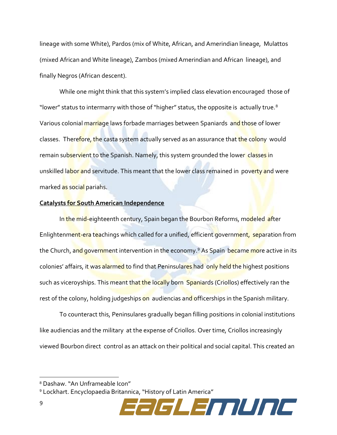lineage with some White), Pardos (mix of White, African, and Amerindian lineage, Mulattos (mixed African and White lineage), Zambos (mixed Amerindian and African lineage), and finally Negros (African descent).

While one might think that this system's implied class elevation encouraged those of "lower" status to intermarry with those of "higher" status, the opposite is actually true.<sup>8</sup> Various colonial marriage laws forbade marriages between Spaniards and those of lower classes. Therefore, the casta system actually served as an assurance that the colony would remain subservient to the Spanish. Namely, this system grounded the lower classes in unskilled labor and servitude. This meant that the lower class remained in poverty and were marked as social pariahs.

#### **Catalysts for South American Independence**

In the mid-eighteenth century, Spain began the Bourbon Reforms, modeled after Enlightenment-era teachings which called for a unified, efficient government, separation from the Church, and government intervention in the economy.<sup>9</sup> As Spain became more active in its colonies' affairs, it was alarmed to find that Peninsulares had only held the highest positions such as viceroyships. This meant that the locally born Spaniards (Criollos) effectively ran the rest of the colony, holding judgeships on audiencias and officerships in the Spanish military.

To counteract this, Peninsulares gradually began filling positions in colonial institutions like audiencias and the military at the expense of Criollos. Over time, Criollos increasingly viewed Bourbon direct control as an attack on their political and social capital. This created an

<sup>9</sup> Lockhart. Encyclopaedia Britannica, "History of Latin America"



<sup>8</sup> Dashaw. "An Unframeable Icon"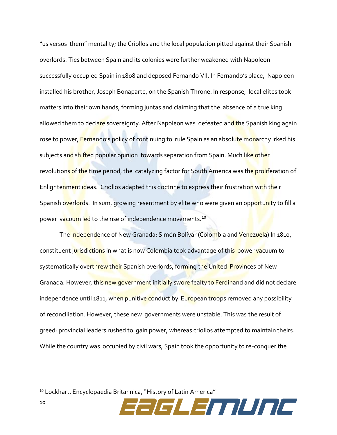"us versus them" mentality; the Criollos and the local population pitted against their Spanish overlords. Ties between Spain and its colonies were further weakened with Napoleon successfully occupied Spain in 1808 and deposed Fernando VII. In Fernando's place, Napoleon installed his brother, Joseph Bonaparte, on the Spanish Throne. In response, local elites took matters into their own hands, forming juntas and claiming that the absence of a true king allowed them to declare sovereignty. After Napoleon was defeated and the Spanish king again rose to power, Fernando's policy of continuing to rule Spain as an absolute monarchy irked his subjects and shifted popular opinion towards separation from Spain. Much like other revolutions of the time period, the catalyzing factor for South America was the proliferation of Enlightenment ideas. Criollos adapted this doctrine to express their frustration with their Spanish overlords. In sum, growing resentment by elite who were given an opportunity to fill a power vacuum led to the rise of independence movements.<sup>10</sup>

The Independence of New Granada: Simón Bolívar (Colombia and Venezuela) In 1810, constituent jurisdictions in what is now Colombia took advantage of this power vacuum to systematically overthrew their Spanish overlords, forming the United Provinces of New Granada. However, this new government initially swore fealty to Ferdinand and did not declare independence until 1811, when punitive conduct by European troops removed any possibility of reconciliation. However, these new governments were unstable. This was the result of greed: provincial leaders rushed to gain power, whereas criollos attempted to maintain theirs. While the country was occupied by civil wars, Spain took the opportunity to re-conquer the

<sup>10</sup> Lockhart. Encyclopaedia Britannica, "History of Latin America"

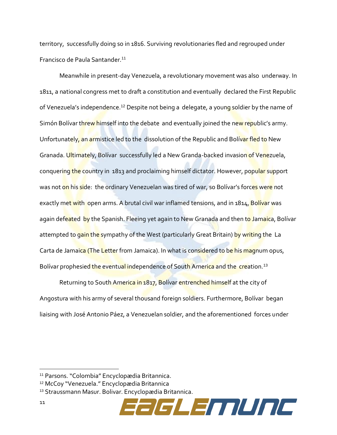territory, successfully doing so in 1816. Surviving revolutionaries fled and regrouped under Francisco de Paula Santander.<sup>11</sup>

Meanwhile in present-day Venezuela, a revolutionary movement was also underway. In 1811, a national congress met to draft a constitution and eventually declared the First Republic of Venezuela's independence.<sup>12</sup> Despite not being a delegate, a young soldier by the name of Simón Bolívar threw himself into the debate and eventually joined the new republic's army. Unfortunately, an armistice led to the dissolution of the Republic and Bolivar fled to New Granada. Ultimately, Bolívar successfully led a New Granda-backed invasion of Venezuela, conquering the country in 1813 and proclaiming himself dictator. However, popular support was not on his side: the ordinary Venezuelan was tired of war, so Bolívar's forces were not exactly met with open arms. A brutal civil war inflamed tensions, and in 1814, Bolívar was again defeated by the Spanish. Fleeing yet again to New Granada and then to Jamaica, Bolívar attempted to gain the sympathy of the West (particularly Great Britain) by writing the La Carta de Jamaica (The Letter from Jamaica). In what is considered to be his magnum opus, Bolívar prophesied the eventual independence of South America and the creation.<sup>13</sup>

Returning to South America in 1817, Bolívar entrenched himself at the city of Angostura with his army of several thousand foreign soldiers. Furthermore, Bolívar began liaising with José Antonio Páez, a Venezuelan soldier, and the aforementioned forces under



<sup>11</sup> Parsons. "Colombia" Encyclopædia Britannica.

<sup>12</sup> McCoy "Venezuela." Encyclopædia Britannica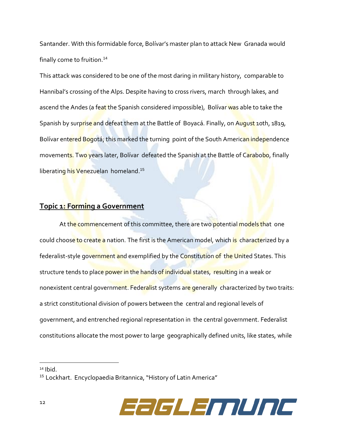Santander. With this formidable force, Bolívar's master plan to attack New Granada would finally come to fruition.<sup>14</sup>

This attack was considered to be one of the most daring in military history, comparable to Hannibal's crossing of the Alps. Despite having to cross rivers, march through lakes, and ascend the Andes (a feat the Spanish considered impossible), Bolívar was able to take the Spanish by surprise and defeat them at the Battle of Boyacá. Finally, on August 10th, 1819, Bolívar entered Bogotá; this marked the turning point of the South American independence movements. Two years later, Bolívar defeated the Spanish at the Battle of Carabobo, finally liberating his Venezuelan homeland.<sup>15</sup>

## **Topic 1: Forming a Government**

At the commencement of this committee, there are two potential models that one could choose to create a nation. The first is the American model, which is characterized by a federalist-style government and exemplified by the Constitution of the United States. This structure tends to place power in the hands of individual states, resulting in a weak or nonexistent central government. Federalist systems are generally characterized by two traits: a strict constitutional division of powers between the central and regional levels of government, and entrenched regional representation in the central government. Federalist constitutions allocate the most power to large geographically defined units, like states, while

<sup>15</sup> Lockhart. Encyclopaedia Britannica, "History of Latin America"



 $14$  Ibid.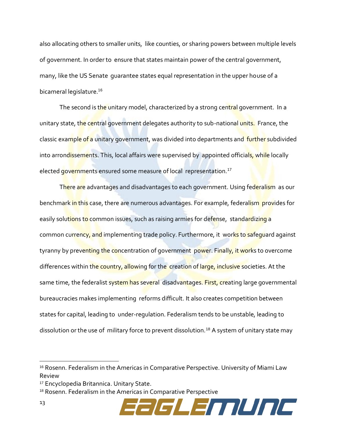also allocating others to smaller units, like counties, or sharing powers between multiple levels of government. In order to ensure that states maintain power of the central government, many, like the US Senate guarantee states equal representation in the upper house of a bicameral legislature.<sup>16</sup>

The second is the unitary model, characterized by a strong central government. In a unitary state, the central government delegates authority to sub-national units. France, the classic example of a unitary government, was divided into departments and further subdivided into arrondissements. This, local affairs were supervised by appointed officials, while locally elected governments ensured some measure of local representation.<sup>17</sup>

There are advantages and disadvantages to each government. Using federalism as our benchmark in this case, there are numerous advantages. For example, federalism provides for easily solutions to common issues, such as raising armies for defense, standardizing a common currency, and implementing trade policy. Furthermore, it works to safeguard against tyranny by preventing the concentration of government power. Finally, it works to overcome differences within the country, allowing for the creation of large, inclusive societies. At the same time, the federalist system has several disadvantages. First, creating large governmental bureaucracies makes implementing reforms difficult. It also creates competition between states for capital, leading to under-regulation. Federalism tends to be unstable, leading to dissolution or the use of military force to prevent dissolution.<sup>18</sup> A system of unitary state may

<sup>18</sup> Rosenn. Federalism in the Americas in Comparative Perspective



<sup>&</sup>lt;sup>16</sup> Rosenn. Federalism in the Americas in Comparative Perspective. University of Miami Law Review

<sup>17</sup> Encyclopedia Britannica. Unitary State.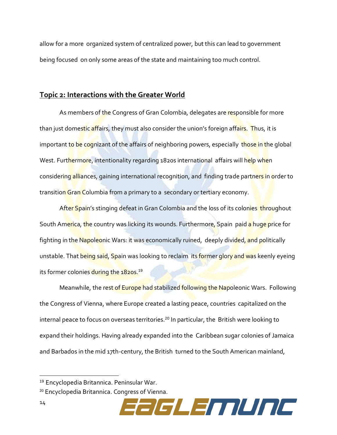allow for a more organized system of centralized power, but this can lead to government being focused on only some areas of the state and maintaining too much control.

#### **Topic 2: Interactions with the Greater World**

As members of the Congress of Gran Colombia, delegates are responsible for more than just domestic affairs, they must also consider the union's foreign affairs. Thus, it is important to be cognizant of the affairs of neighboring powers, especially those in the global West. Furthermore, intentionality regarding 1820s international affairs will help when considering alliances, gaining international recognition, and finding trade partners in order to transition Gran Columbia from a primary to a secondary or tertiary economy.

After Spain's stinging defeat in Gran Colombia and the loss of its colonies throughout South America, the country was licking its wounds. Furthermore, Spain paid a huge price for fighting in the Napoleonic Wars: it was economically ruined, deeply divided, and politically unstable. That being said, Spain was looking to reclaim its former glory and was keenly eyeing its former colonies during the 1820s.<sup>19</sup>

Meanwhile, the rest of Europe had stabilized following the Napoleonic Wars. Following the Congress of Vienna, where Europe created a lasting peace, countries capitalized on the internal peace to focus on overseas territories.<sup>20</sup> In particular, the British were looking to expand their holdings. Having already expanded into the Caribbean sugar colonies of Jamaica and Barbados in the mid 17th-century, the British turned to the South American mainland,

<sup>20</sup> Encyclopedia Britannica. Congress of Vienna.



<sup>19</sup> Encyclopedia Britannica. Peninsular War.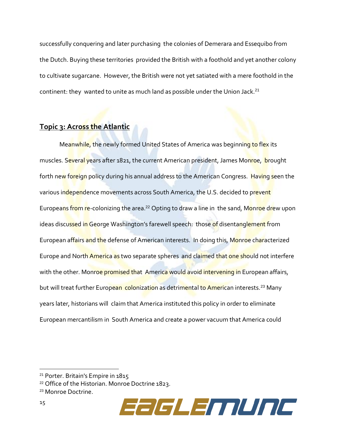successfully conquering and later purchasing the colonies of Demerara and Essequibo from the Dutch. Buying these territories provided the British with a foothold and yet another colony to cultivate sugarcane. However, the British were not yet satiated with a mere foothold in the continent: they wanted to unite as much land as possible under the Union Jack.<sup>21</sup>

# **Topic 3: Across the Atlantic**

Meanwhile, the newly formed United States of America was beginning to flex its muscles. Several years after 1821, the current American president, James Monroe, brought forth new foreign policy during his annual address to the American Congress. Having seen the various independence movements across South America, the U.S. decided to prevent Europeans from re-colonizing the area.<sup>22</sup> Opting to draw a line in the sand, Monroe drew upon ideas discussed in George Washington's farewell speech: those of disentanglement from European affairs and the defense of American interests. In doing this, Monroe characterized Europe and North America as two separate spheres and claimed that one should not interfere with the other. Monroe promised that America would avoid intervening in European affairs, but will treat further European colonization as detrimental to American interests.<sup>23</sup> Many years later, historians will claim that America instituted this policy in order to eliminate European mercantilism in South America and create a power vacuum that America could

<sup>23</sup> Monroe Doctrine.



<sup>21</sup> Porter. Britain's Empire in 1815

<sup>22</sup> Office of the Historian. Monroe Doctrine 1823.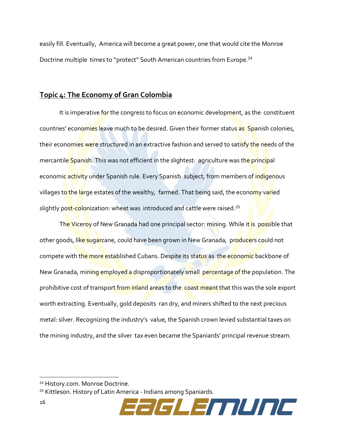easily fill. Eventually, America will become a great power, one that would cite the Monroe Doctrine multiple times to "protect" South American countries from Europe.<sup>24</sup>

## **Topic 4: The Economy of Gran Colombia**

It is imperative for the congress to focus on economic development, as the constituent countries' economies leave much to be desired. Given their former status as Spanish colonies, their economies were structured in an extractive fashion and served to satisfy the needs of the mercantile Spanish. This was not efficient in the slightest: agriculture was the principal economic activity under Spanish rule. Every Spanish subject, from members of indigenous villages to the large estates of the wealthy, farmed. That being said, the economy varied slightly post-colonization: wheat was introduced and cattle were raised.<sup>25</sup>

The Viceroy of New Granada had one principal sector: mining. While it is possible that other goods, like sugarcane, could have been grown in New Granada, producers could not compete with the more established Cubans. Despite its status as the economic backbone of New Granada, mining employed a disproportionately small percentage of the population. The prohibitive cost of transport from inland areas to the coast meant that this was the sole export worth extracting. Eventually, gold deposits ran dry, and miners shifted to the next precious metal: silver. Recognizing the industry's value, the Spanish crown levied substantial taxes on the mining industry, and the silver tax even became the Spaniards' principal revenue stream.

<sup>25</sup> Kittleson. History of Latin America - Indians among Spaniards.



<sup>24</sup> History.com. Monroe Doctrine.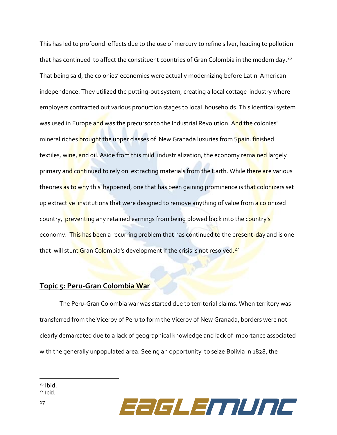This has led to profound effects due to the use of mercury to refine silver, leading to pollution that has continued to affect the constituent countries of Gran Colombia in the modern day.<sup>26</sup> That being said, the colonies' economies were actually modernizing before Latin American independence. They utilized the putting-out system, creating a local cottage industry where employers contracted out various production stages to local households. This identical system was used in Europe and was the precursor to the Industrial Revolution. And the colonies' mineral riches brought the upper classes of New Granada luxuries from Spain: finished textiles, wine, and oil. Aside from this mild industrialization, the economy remained largely primary and continued to rely on extracting materials from the Earth. While there are various theories as to why this happened, one that has been gaining prominence is that colonizers set up extractive institutions that were designed to remove anything of value from a colonized country, preventing any retained earnings from being plowed back into the country's economy. This has been a recurring problem that has continued to the present-day and is one that will stunt Gran Colombia's development if the crisis is not resolved.<sup>27</sup>

## **Topic 5: Peru-Gran Colombia War**

The Peru-Gran Colombia war was started due to territorial claims. When territory was transferred from the Viceroy of Peru to form the Viceroy of New Granada, borders were not clearly demarcated due to a lack of geographical knowledge and lack of importance associated with the generally unpopulated area. Seeing an opportunity to seize Bolivia in 1828, the



<sup>26</sup> Ibid.

 $27$  Ibid.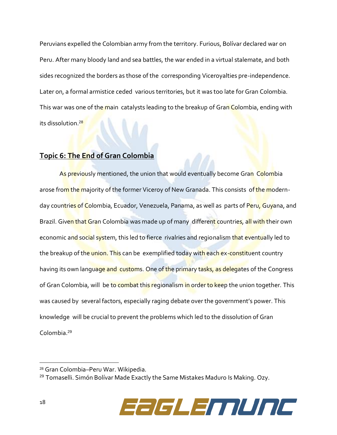Peruvians expelled the Colombian army from the territory. Furious, Bolívar declared war on Peru. After many bloody land and sea battles, the war ended in a virtual stalemate, and both sides recognized the borders as those of the corresponding Viceroyalties pre-independence. Later on, a formal armistice ceded various territories, but it was too late for Gran Colombia. This war was one of the main catalysts leading to the breakup of Gran Colombia, ending with its dissolution.<sup>28</sup>

## **Topic 6: The End of Gran Colombia**

As previously mentioned, the union that would eventually become Gran Colombia arose from the majority of the former Viceroy of New Granada. This consists of the modernday countries of Colombia, Ecuador, Venezuela, Panama, as well as parts of Peru, Guyana, and Brazil. Given that Gran Colombia was made up of many different countries, all with their own economic and social system, this led to fierce rivalries and regionalism that eventually led to the breakup of the union. This can be exemplified today with each ex-constituent country having its own language and customs. One of the primary tasks, as delegates of the Congress of Gran Colombia, will be to combat this regionalism in order to keep the union together. This was caused by several factors, especially raging debate over the government's power. This knowledge will be crucial to prevent the problems which led to the dissolution of Gran Colombia.<sup>29</sup>

<sup>&</sup>lt;sup>29</sup> Tomaselli. Simón Bolívar Made Exactly the Same Mistakes Maduro Is Making. Ozy.



<sup>28</sup> Gran Colombia–Peru War. Wikipedia.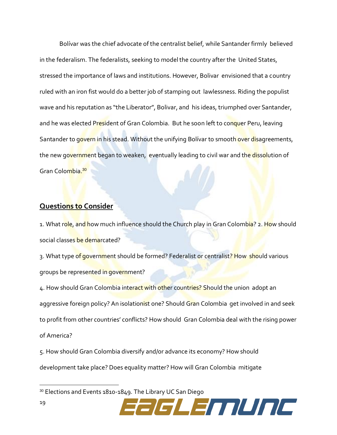Bolívar was the chief advocate of the centralist belief, while Santander firmly believed in the federalism. The federalists, seeking to model the country after the United States, stressed the importance of laws and institutions. However, Bolivar envisioned that a country ruled with an iron fist would do a better job of stamping out lawlessness. Riding the populist wave and his reputation as "the Liberator", Bolivar, and his ideas, triumphed over Santander, and he was elected President of Gran Colombia. But he soon left to conquer Peru, leaving Santander to govern in his stead. Without the unifying Bolívar to smooth over disagreements, the new government began to weaken, eventually leading to civil war and the dissolution of Gran Colombia.<sup>30</sup>

### **Questions to Consider**

1. What role, and how much influence should the Church play in Gran Colombia? 2. How should social classes be demarcated?

3. What type of government should be formed? Federalist or centralist? How should various groups be represented in government?

4. How should Gran Colombia interact with other countries? Should the union adopt an aggressive foreign policy? An isolationist one? Should Gran Colombia get involved in and seek to profit from other countries' conflicts? How should Gran Colombia deal with the rising power of America?

5. How should Gran Colombia diversify and/or advance its economy? How should development take place? Does equality matter? How will Gran Colombia mitigate

<sup>30</sup> Elections and Events 1810-1849. The Library UC San Diego

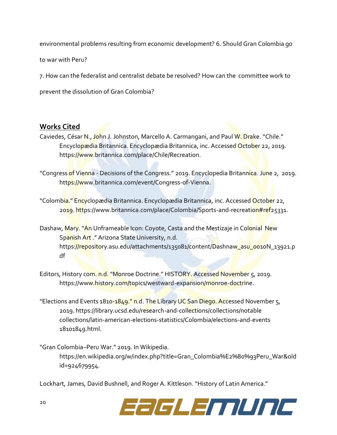environmental problems resulting from economic development? 6. Should Gran Colombia go

to war with Peru?

7. How can the federalist and centralist debate be resolved? How can the committee work to

prevent the dissolution of Gran Colombia?

## **Works Cited**

Caviedes, César N., John J. Johnston, Marcello A. Carmangani, and Paul W. Drake. "Chile." Encyclopædia Britannica. Encyclopædia Britannica, inc. Accessed October 22, 2019. https://www.britannica.com/place/Chile/Recreation.

"Congress of Vienna - Decisions of the Congress." 2019. Encyclopedia Britannica. June 2, 2019. https://www.britannica.com/event/Congress-of-Vienna.

"Colombia." Encyclopædia Britannica. Encyclopædia Britannica, inc. Accessed October 22, 2019. https://www.britannica.com/place/Colombia/Sports-and-recreation#ref25331.

Dashaw, Mary. "An Unframeable Icon: Coyote, Casta and the Mestizaje in Colonial New Spanish Art ." Arizona State University, n.d. https://repository.asu.edu/attachments/135081/content/Dashnaw\_asu\_0010N\_13921.p df

Editors, History com. n.d. "Monroe Doctrine." HISTORY. Accessed November 5, 2019. https://www.history.com/topics/westward-expansion/monroe-doctrine.

"Elections and Events 1810-1849." n.d. The Library UC San Diego. Accessed November 5, 2019. https://library.ucsd.edu/research-and-collections/collections/notable collections/latin-american-elections-statistics/Colombia/elections-and-events 18101849.html.

"Gran Colombia–Peru War." 2019. In Wikipedia. https://en.wikipedia.org/w/index.php?title=Gran\_Colombia%E2%80%93Peru\_War&old id=924679954.

Lockhart, James, David Bushnell, and Roger A. Kittleson. "History of Latin America."